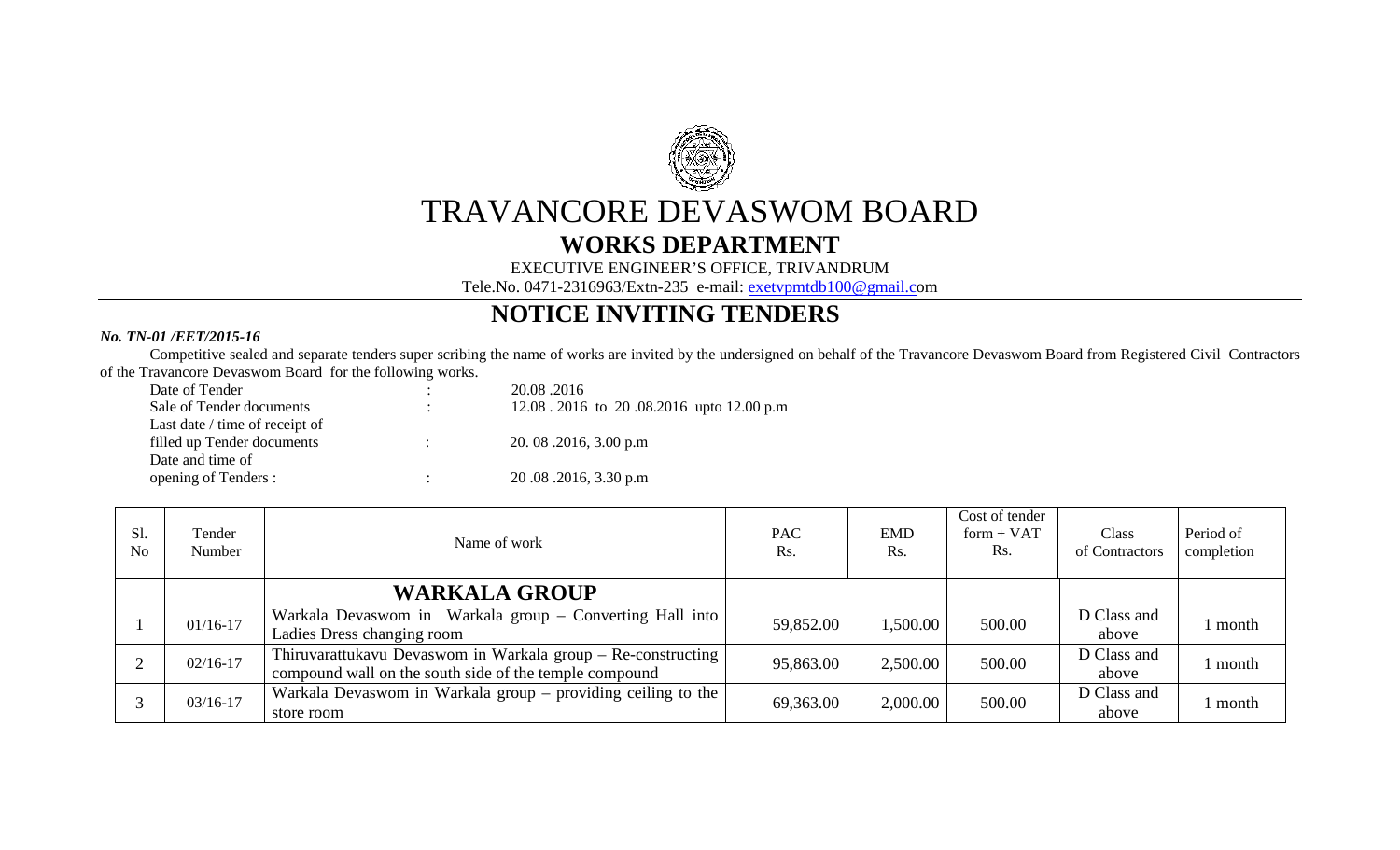

## TRAVANCORE DEVASWOM BOARD

## **WORKS DEPARTMENT**

EXECUTIVE ENGINEER'S OFFICE, TRIVANDRUM

Tele.No. 0471-2316963/Extn-235 e-mail: exetvpmtdb100@gmail.com

## **NOTICE INVITING TENDERS**

## *No. TN-01 /EET/2015-16*

 Competitive sealed and separate tenders super scribing the name of works are invited by the undersigned on behalf of the Travancore Devaswom Board from Registered Civil Contractors of the Travancore Devaswom Board for the following works.

| Date of Tender                 | 20.08.2016                              |
|--------------------------------|-----------------------------------------|
| Sale of Tender documents       | 12.08.2016 to 20.08.2016 upto 12.00 p.m |
| Last date / time of receipt of |                                         |
| filled up Tender documents     | 20.08.2016, 3.00 p.m                    |
| Date and time of               |                                         |
| opening of Tenders :           | 20.08.2016, 3.30 p.m                    |

| S1.<br>N <sub>o</sub> | Tender<br>Number | Name of work                                                 | <b>PAC</b><br>Rs. | <b>EMD</b><br>Rs. | Cost of tender<br>$form + VAT$<br>Rs. | Class<br>of Contractors | Period of<br>completion |
|-----------------------|------------------|--------------------------------------------------------------|-------------------|-------------------|---------------------------------------|-------------------------|-------------------------|
|                       |                  | <b>WARKALA GROUP</b>                                         |                   |                   |                                       |                         |                         |
|                       | $01/16 - 17$     | Warkala Devaswom in Warkala group – Converting Hall into     | 59,852.00         | 1,500.00          | 500.00                                | D Class and             | l month                 |
|                       |                  | Ladies Dress changing room                                   |                   |                   |                                       | above                   |                         |
|                       | $02/16 - 17$     | Thiruvarattukavu Devaswom in Warkala group - Re-constructing | 95,863.00         | 2,500.00          | 500.00                                | D Class and             | l month                 |
|                       |                  | compound wall on the south side of the temple compound       |                   |                   |                                       | above                   |                         |
|                       | $03/16 - 17$     | Warkala Devaswom in Warkala group – providing ceiling to the | 69,363.00         | 2,000.00          | 500.00                                | D Class and             | l month                 |
|                       |                  | store room                                                   |                   |                   |                                       | above                   |                         |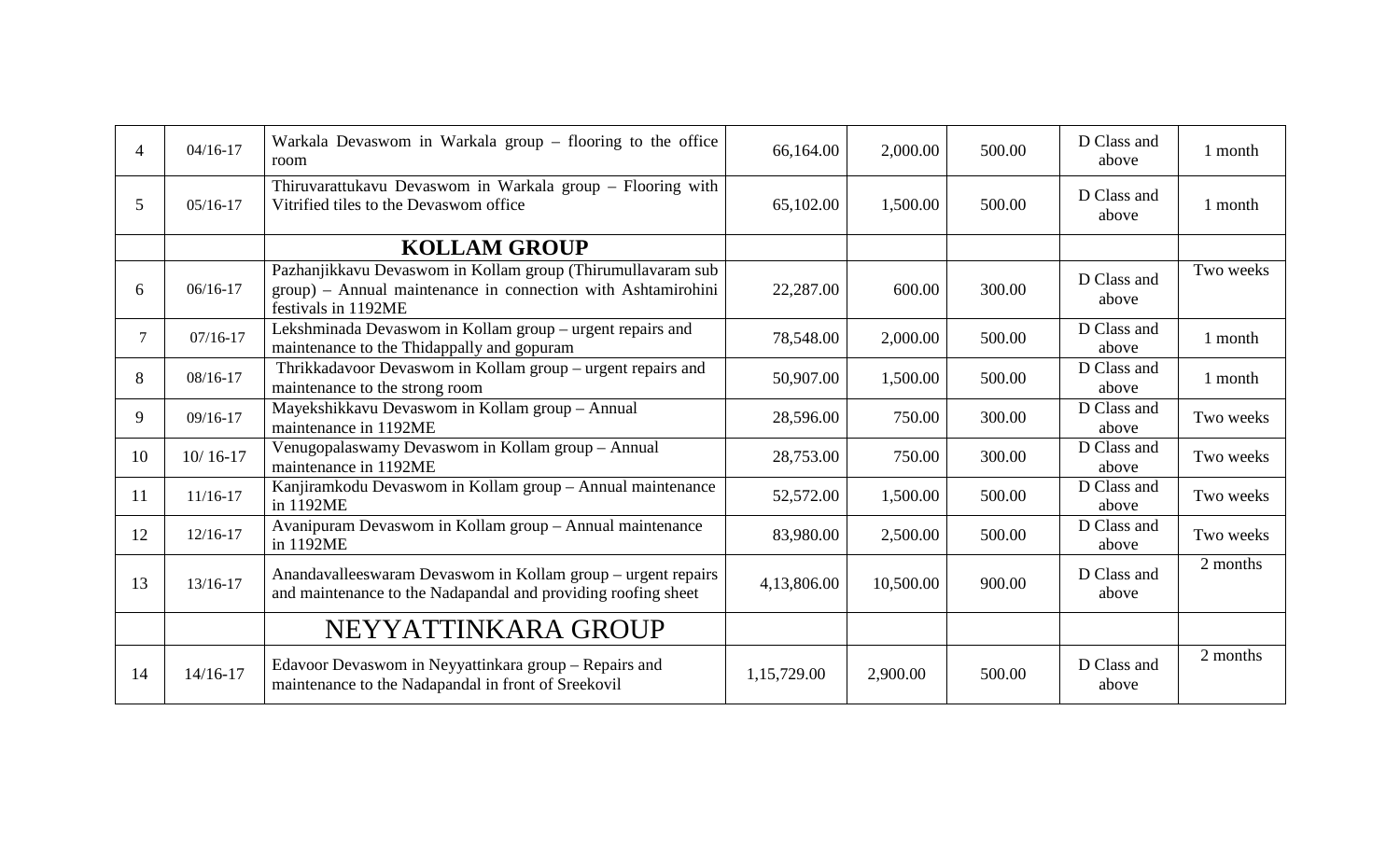| $\overline{A}$ | $04/16-17$   | Warkala Devaswom in Warkala group - flooring to the office<br>room                                                                                 | 66,164.00   | 2,000.00  | 500.00 | D Class and<br>above | 1 month   |
|----------------|--------------|----------------------------------------------------------------------------------------------------------------------------------------------------|-------------|-----------|--------|----------------------|-----------|
| 5              | $05/16-17$   | Thiruvarattukavu Devaswom in Warkala group - Flooring with<br>Vitrified tiles to the Devaswom office                                               | 65,102.00   | 1,500.00  | 500.00 | D Class and<br>above | 1 month   |
|                |              | <b>KOLLAM GROUP</b>                                                                                                                                |             |           |        |                      |           |
| 6              | $06/16-17$   | Pazhanjikkavu Devaswom in Kollam group (Thirumullavaram sub<br>group) - Annual maintenance in connection with Ashtamirohini<br>festivals in 1192ME | 22,287.00   | 600.00    | 300.00 | D Class and<br>above | Two weeks |
| $\tau$         | $07/16 - 17$ | Lekshminada Devaswom in Kollam group - urgent repairs and<br>maintenance to the Thidappally and gopuram                                            | 78,548.00   | 2,000.00  | 500.00 | D Class and<br>above | 1 month   |
| 8              | 08/16-17     | Thrikkadavoor Devaswom in Kollam group - urgent repairs and<br>maintenance to the strong room                                                      | 50,907.00   | 1,500.00  | 500.00 | D Class and<br>above | 1 month   |
| 9              | $09/16 - 17$ | Mayekshikkavu Devaswom in Kollam group - Annual<br>maintenance in 1192ME                                                                           | 28,596.00   | 750.00    | 300.00 | D Class and<br>above | Two weeks |
| 10             | $10/16 - 17$ | Venugopalaswamy Devaswom in Kollam group - Annual<br>maintenance in 1192ME                                                                         | 28,753.00   | 750.00    | 300.00 | D Class and<br>above | Two weeks |
| 11             | $11/16-17$   | Kanjiramkodu Devaswom in Kollam group - Annual maintenance<br>in 1192ME                                                                            | 52,572.00   | 1,500.00  | 500.00 | D Class and<br>above | Two weeks |
| 12             | $12/16-17$   | Avanipuram Devaswom in Kollam group - Annual maintenance<br>in 1192ME                                                                              | 83,980.00   | 2,500.00  | 500.00 | D Class and<br>above | Two weeks |
| 13             | 13/16-17     | Anandavalleeswaram Devaswom in Kollam group – urgent repairs<br>and maintenance to the Nadapandal and providing roofing sheet                      | 4,13,806.00 | 10,500.00 | 900.00 | D Class and<br>above | 2 months  |
|                |              | NEYYATTINKARA GROUP                                                                                                                                |             |           |        |                      |           |
| 14             | $14/16 - 17$ | Edavoor Devaswom in Neyyattinkara group - Repairs and<br>maintenance to the Nadapandal in front of Sreekovil                                       | 1,15,729.00 | 2,900.00  | 500.00 | D Class and<br>above | 2 months  |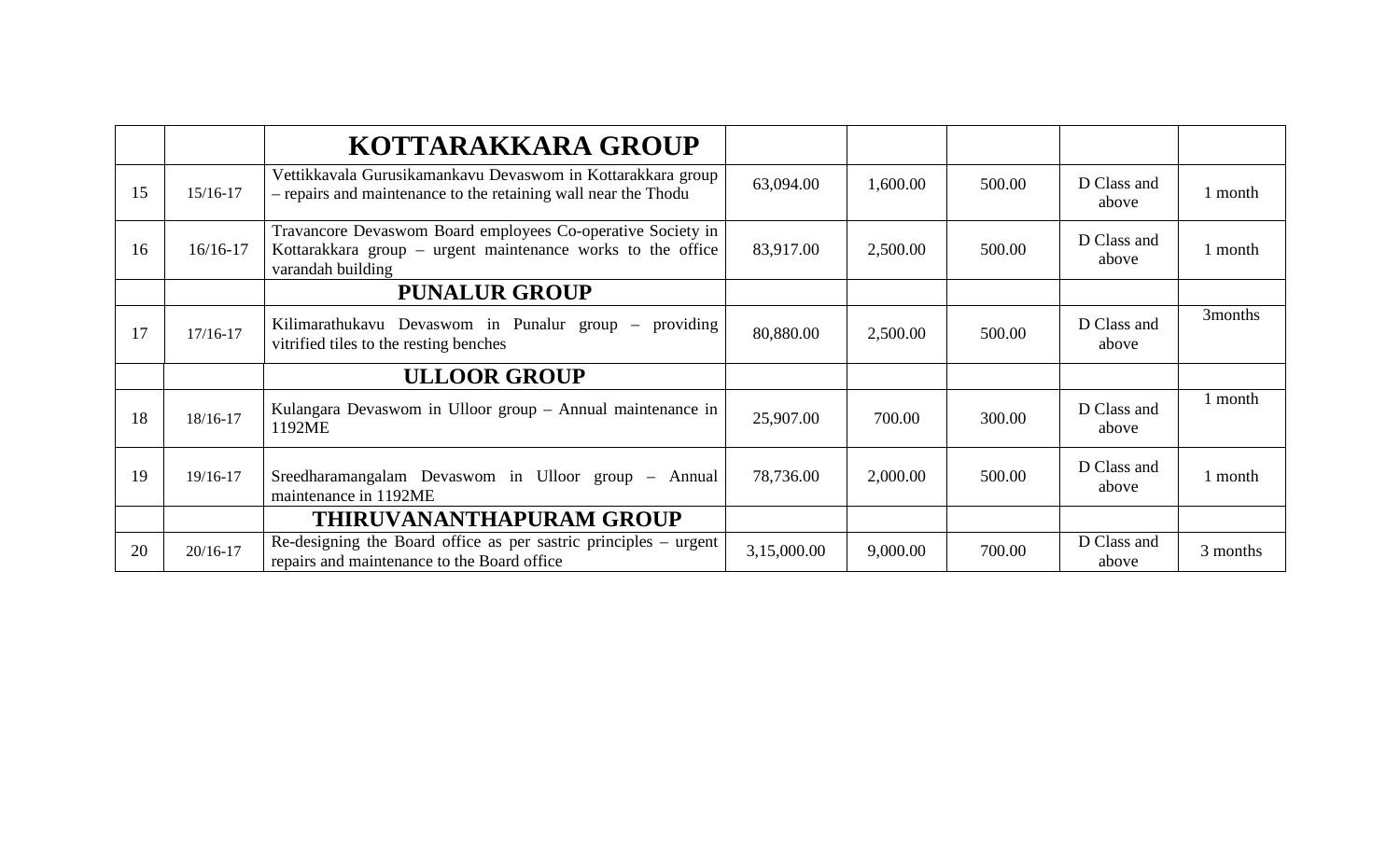|    |              | KOTTARAKKARA GROUP                                                                                                                              |             |          |        |                      |          |
|----|--------------|-------------------------------------------------------------------------------------------------------------------------------------------------|-------------|----------|--------|----------------------|----------|
| 15 | 15/16-17     | Vettikkavala Gurusikamankavu Devaswom in Kottarakkara group<br>- repairs and maintenance to the retaining wall near the Thodu                   | 63,094.00   | 1,600.00 | 500.00 | D Class and<br>above | l month  |
| 16 | $16/16 - 17$ | Travancore Devaswom Board employees Co-operative Society in<br>Kottarakkara group – urgent maintenance works to the office<br>varandah building | 83,917.00   | 2,500.00 | 500.00 | D Class and<br>above | l month  |
|    |              | <b>PUNALUR GROUP</b>                                                                                                                            |             |          |        |                      |          |
| 17 | 17/16-17     | Kilimarathukavu Devaswom in Punalur group – providing<br>vitrified tiles to the resting benches                                                 | 80,880.00   | 2,500.00 | 500.00 | D Class and<br>above | 3months  |
|    |              | <b>ULLOOR GROUP</b>                                                                                                                             |             |          |        |                      |          |
| 18 | 18/16-17     | Kulangara Devaswom in Ulloor group - Annual maintenance in<br>1192ME                                                                            | 25,907.00   | 700.00   | 300.00 | D Class and<br>above | 1 month  |
| 19 | 19/16-17     | Sreedharamangalam Devaswom in Ulloor group – Annual<br>maintenance in 1192ME                                                                    | 78,736.00   | 2,000.00 | 500.00 | D Class and<br>above | 1 month  |
|    |              | <b>THIRUVANANTHAPURAM GROUP</b>                                                                                                                 |             |          |        |                      |          |
| 20 | $20/16 - 17$ | Re-designing the Board office as per sastric principles – urgent<br>repairs and maintenance to the Board office                                 | 3,15,000.00 | 9,000.00 | 700.00 | D Class and<br>above | 3 months |